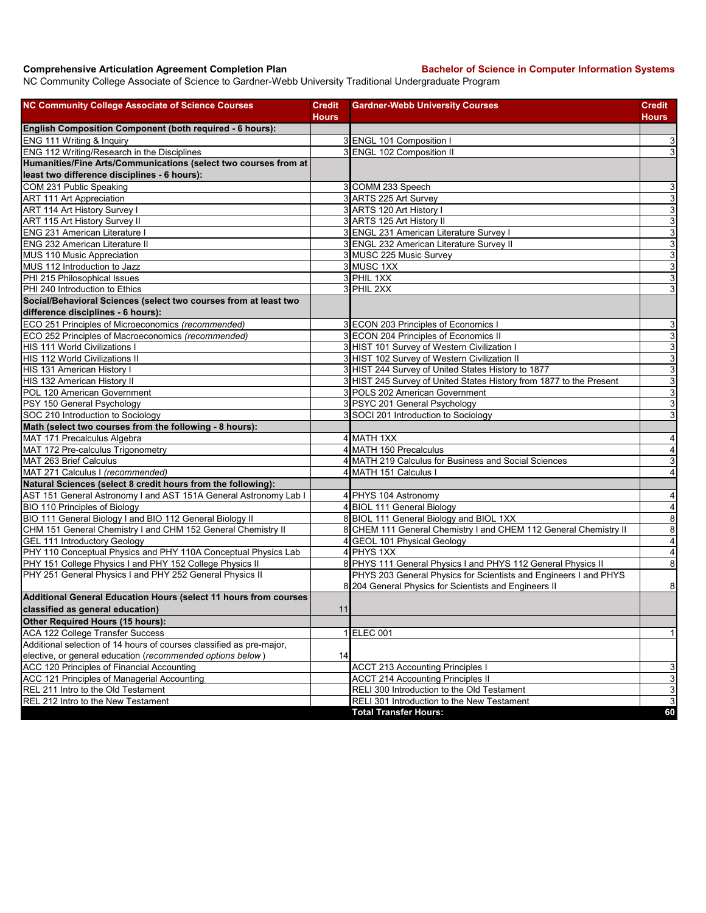## **Comprehensive Articulation Agreement Completion Plan Bachelor of Science in Computer Information Systems**

NC Community College Associate of Science to Gardner-Webb University Traditional Undergraduate Program

| <b>NC Community College Associate of Science Courses</b>             | <b>Credit</b><br><b>Hours</b> | <b>Gardner-Webb University Courses</b>                                                                                    | <b>Credit</b><br>Hours    |
|----------------------------------------------------------------------|-------------------------------|---------------------------------------------------------------------------------------------------------------------------|---------------------------|
| English Composition Component (both required - 6 hours):             |                               |                                                                                                                           |                           |
| ENG 111 Writing & Inquiry                                            |                               | 3 ENGL 101 Composition                                                                                                    | $\mathbf{3}$              |
| ENG 112 Writing/Research in the Disciplines                          |                               | 3 ENGL 102 Composition II                                                                                                 | ω                         |
| Humanities/Fine Arts/Communications (select two courses from at      |                               |                                                                                                                           |                           |
| least two difference disciplines - 6 hours):                         |                               |                                                                                                                           |                           |
| COM 231 Public Speaking                                              |                               | 3 COMM 233 Speech                                                                                                         | $\mathbf{3}$              |
| <b>ART 111 Art Appreciation</b>                                      |                               | 3 ARTS 225 Art Survey                                                                                                     | $\overline{3}$            |
| ART 114 Art History Survey I                                         |                               | 3 ARTS 120 Art History I                                                                                                  | 3                         |
| ART 115 Art History Survey II                                        |                               | 3 ARTS 125 Art History II                                                                                                 | 3                         |
| <b>ENG 231 American Literature I</b>                                 |                               | 3 ENGL 231 American Literature Survey I                                                                                   | 3                         |
| <b>ENG 232 American Literature II</b>                                |                               | 3 ENGL 232 American Literature Survey II                                                                                  | $\overline{3}$            |
| MUS 110 Music Appreciation                                           |                               | 3 MUSC 225 Music Survey                                                                                                   | $\overline{3}$            |
| MUS 112 Introduction to Jazz                                         |                               | 3 MUSC 1XX                                                                                                                | $\overline{3}$            |
| PHI 215 Philosophical Issues                                         |                               | 3 PHIL 1XX                                                                                                                | $\ensuremath{\mathsf{3}}$ |
| PHI 240 Introduction to Ethics                                       |                               | 3 PHIL 2XX                                                                                                                | 3                         |
| Social/Behavioral Sciences (select two courses from at least two     |                               |                                                                                                                           |                           |
| difference disciplines - 6 hours):                                   |                               |                                                                                                                           |                           |
| ECO 251 Principles of Microeconomics (recommended)                   |                               | 3 ECON 203 Principles of Economics I                                                                                      | 3                         |
| ECO 252 Principles of Macroeconomics (recommended)                   |                               | 3 ECON 204 Principles of Economics II                                                                                     | $\overline{3}$            |
| HIS 111 World Civilizations I                                        |                               | 3 HIST 101 Survey of Western Civilization I                                                                               | 3                         |
| HIS 112 World Civilizations II                                       |                               | 3 HIST 102 Survey of Western Civilization II                                                                              | $\mathbf{3}$              |
| HIS 131 American History I                                           |                               | 3 HIST 244 Survey of United States History to 1877                                                                        | $\overline{3}$            |
| HIS 132 American History II                                          |                               | 3 HIST 245 Survey of United States History from 1877 to the Present                                                       | $\mathbf{3}$              |
| POL 120 American Government                                          |                               | 3 POLS 202 American Government                                                                                            | 3                         |
| PSY 150 General Psychology                                           |                               | 3 PSYC 201 General Psychology                                                                                             | $\overline{3}$            |
| SOC 210 Introduction to Sociology                                    |                               | 3 SOCI 201 Introduction to Sociology                                                                                      | 3                         |
| Math (select two courses from the following - 8 hours):              |                               |                                                                                                                           |                           |
| MAT 171 Precalculus Algebra                                          |                               | 4 MATH 1XX                                                                                                                | 4                         |
| MAT 172 Pre-calculus Trigonometry                                    |                               | 4 MATH 150 Precalculus                                                                                                    | $\overline{\mathbf{4}}$   |
| MAT 263 Brief Calculus                                               |                               | 4 MATH 219 Calculus for Business and Social Sciences                                                                      | $\ensuremath{\mathsf{3}}$ |
| MAT 271 Calculus I (recommended)                                     |                               | 4 MATH 151 Calculus I                                                                                                     | 4                         |
| Natural Sciences (select 8 credit hours from the following):         |                               |                                                                                                                           |                           |
| AST 151 General Astronomy I and AST 151A General Astronomy Lab I     |                               | 4 PHYS 104 Astronomy                                                                                                      | 4                         |
| BIO 110 Principles of Biology                                        |                               | 4 BIOL 111 General Biology                                                                                                | $\overline{4}$            |
| BIO 111 General Biology I and BIO 112 General Biology II             |                               | 8 BIOL 111 General Biology and BIOL 1XX                                                                                   | $\overline{8}$            |
| CHM 151 General Chemistry I and CHM 152 General Chemistry II         |                               | 8 CHEM 111 General Chemistry I and CHEM 112 General Chemistry II                                                          | $\bf8$                    |
| <b>GEL 111 Introductory Geology</b>                                  |                               | 4 GEOL 101 Physical Geology                                                                                               | $\overline{4}$            |
| PHY 110 Conceptual Physics and PHY 110A Conceptual Physics Lab       |                               | 4 PHYS 1XX                                                                                                                | $\overline{\mathbf{A}}$   |
| PHY 151 College Physics I and PHY 152 College Physics II             |                               | 8 PHYS 111 General Physics I and PHYS 112 General Physics II                                                              | 8                         |
| PHY 251 General Physics I and PHY 252 General Physics II             |                               | PHYS 203 General Physics for Scientists and Engineers I and PHYS<br>8 204 General Physics for Scientists and Engineers II | 8                         |
| Additional General Education Hours (select 11 hours from courses     |                               |                                                                                                                           |                           |
| classified as general education)                                     | 11                            |                                                                                                                           |                           |
| Other Required Hours (15 hours):                                     |                               |                                                                                                                           |                           |
| <b>ACA 122 College Transfer Success</b>                              |                               | 1 ELEC 001                                                                                                                | $\mathbf{1}$              |
| Additional selection of 14 hours of courses classified as pre-major, |                               |                                                                                                                           |                           |
| elective, or general education (recommended options below)           | 14                            |                                                                                                                           |                           |
| ACC 120 Principles of Financial Accounting                           |                               | <b>ACCT 213 Accounting Principles I</b>                                                                                   | 3                         |
| ACC 121 Principles of Managerial Accounting                          |                               | <b>ACCT 214 Accounting Principles II</b>                                                                                  | $\mathbf{3}$              |
| REL 211 Intro to the Old Testament                                   |                               | RELI 300 Introduction to the Old Testament                                                                                | $\ensuremath{\mathsf{3}}$ |
| REL 212 Intro to the New Testament                                   |                               | RELI 301 Introduction to the New Testament                                                                                | دى                        |
|                                                                      |                               | <b>Total Transfer Hours:</b>                                                                                              | 60                        |